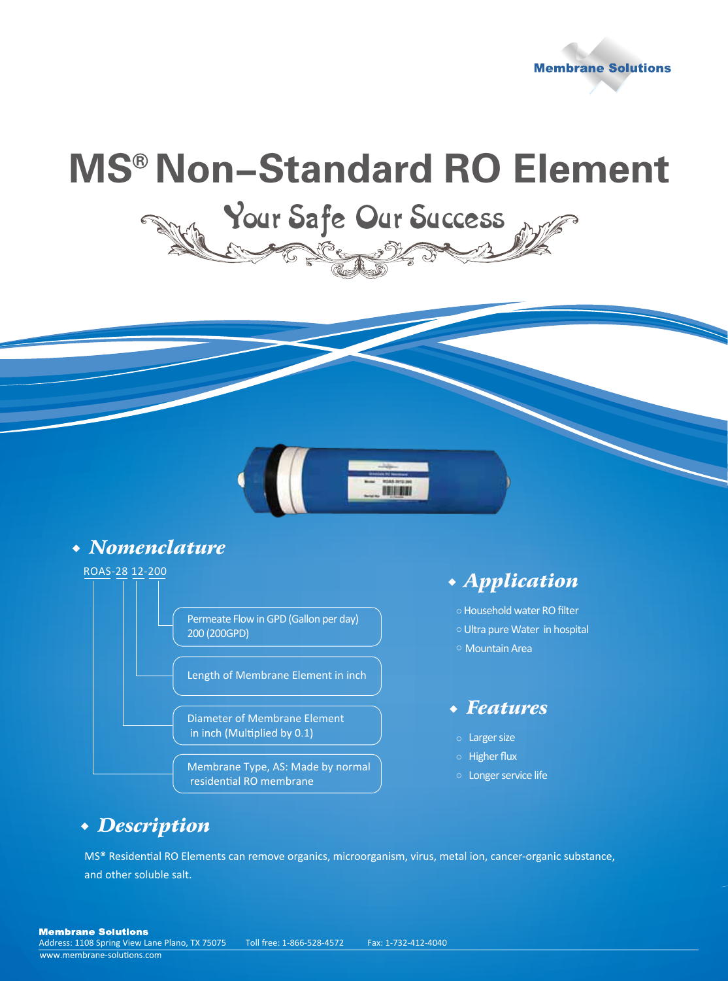

## **MS<sup>®</sup> Non-Standard RO Element**

Your Safe Our Success

# 111111

#### *Nomenclature*



o Household water RO filter Ultra pure Water in hospital Mountain Area

#### *Features*

- Larger size
- o Higher flux
- Longer service life

#### *Description*

MS® Residential RO Elements can remove organics, microorganism, virus, metal ion, cancer-organic substance, and other soluble salt.